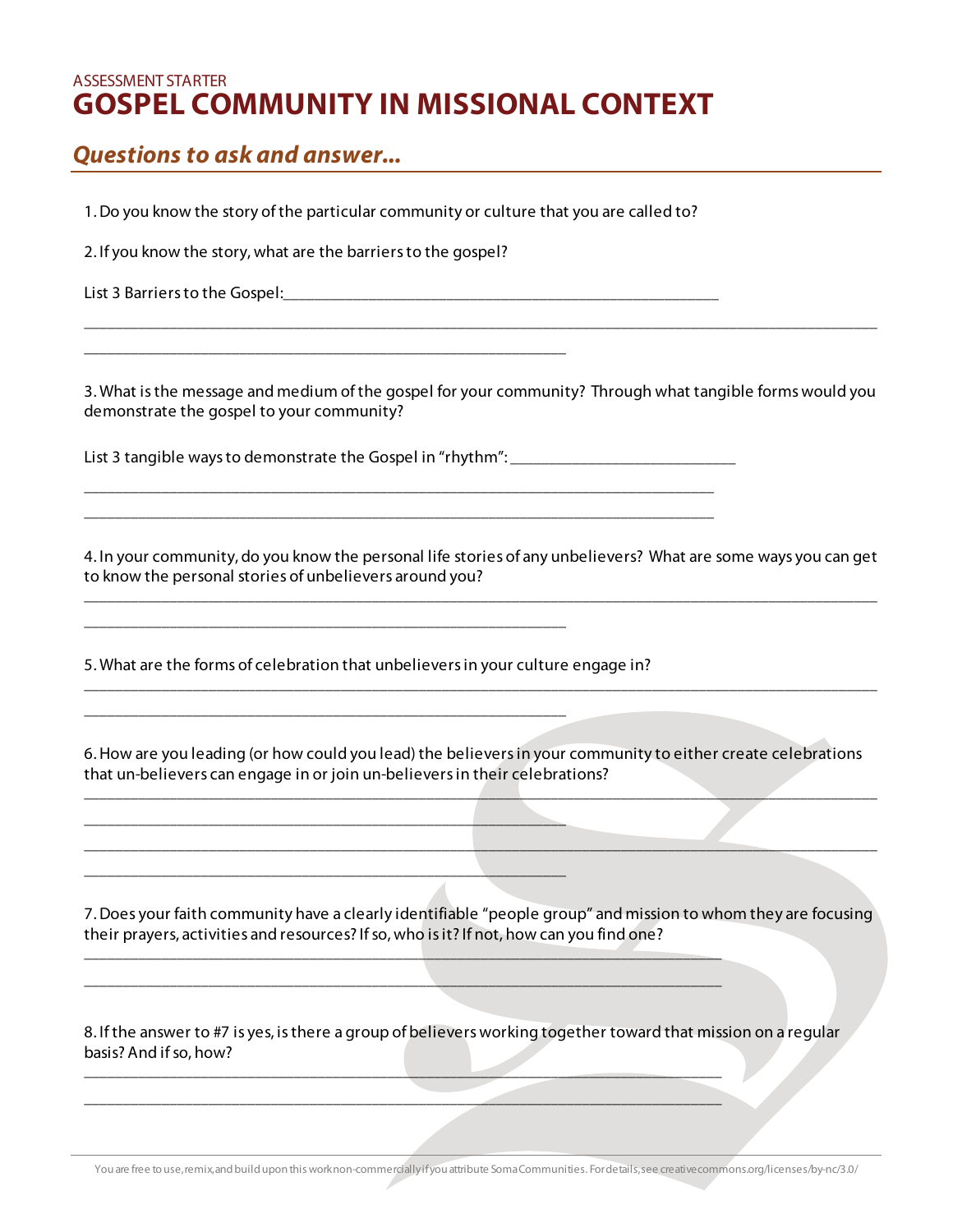## ASSESSMENT STARTER **GOSPEL COMMUNITY IN MISSIONAL CONTEXT**

## *Questions to ask and answer...*

1. Do you know the story of the particular community or culture that you are called to?

2. If you know the story, what are the barriers to the gospel?

\_\_\_\_\_\_\_\_\_\_\_\_\_\_\_\_\_\_\_\_\_\_\_\_\_\_\_\_\_\_\_\_\_\_\_\_\_\_\_\_\_\_\_\_\_\_\_\_\_\_\_\_\_\_\_\_\_\_\_\_\_\_

List 3 Barriers to the Gospel:\_\_\_\_\_\_\_\_\_\_\_\_\_\_\_\_\_\_\_\_\_\_\_\_\_\_\_\_\_\_\_\_\_\_\_\_\_\_\_\_\_\_\_\_\_\_\_\_\_\_\_\_\_\_\_\_

3. What is the message and medium of the gospel for your community? Through what tangible forms would you demonstrate the gospel to your community?

\_\_\_\_\_\_\_\_\_\_\_\_\_\_\_\_\_\_\_\_\_\_\_\_\_\_\_\_\_\_\_\_\_\_\_\_\_\_\_\_\_\_\_\_\_\_\_\_\_\_\_\_\_\_\_\_\_\_\_\_\_\_\_\_\_\_\_\_\_\_\_\_\_\_\_\_\_\_\_\_\_\_\_\_\_\_\_\_\_\_\_\_\_\_\_\_\_\_\_\_\_\_

List 3 tangible ways to demonstrate the Gospel in "rhythm": \_\_\_\_\_\_\_\_\_\_\_\_\_\_\_\_\_\_\_\_\_\_\_\_\_\_\_

\_\_\_\_\_\_\_\_\_\_\_\_\_\_\_\_\_\_\_\_\_\_\_\_\_\_\_\_\_\_\_\_\_\_\_\_\_\_\_\_\_\_\_\_\_\_\_\_\_\_\_\_\_\_\_\_\_\_\_\_\_\_\_\_\_\_\_\_\_\_\_\_\_\_\_\_\_\_\_\_\_ \_\_\_\_\_\_\_\_\_\_\_\_\_\_\_\_\_\_\_\_\_\_\_\_\_\_\_\_\_\_\_\_\_\_\_\_\_\_\_\_\_\_\_\_\_\_\_\_\_\_\_\_\_\_\_\_\_\_\_\_\_\_\_\_\_\_\_\_\_\_\_\_\_\_\_\_\_\_\_\_\_

4. In your community, do you know the personal life stories of any unbelievers? What are some ways you can get to know the personal stories of unbelievers around you? \_\_\_\_\_\_\_\_\_\_\_\_\_\_\_\_\_\_\_\_\_\_\_\_\_\_\_\_\_\_\_\_\_\_\_\_\_\_\_\_\_\_\_\_\_\_\_\_\_\_\_\_\_\_\_\_\_\_\_\_\_\_\_\_\_\_\_\_\_\_\_\_\_\_\_\_\_\_\_\_\_\_\_\_\_\_\_\_\_\_\_\_\_\_\_\_\_\_\_\_\_\_

5. What are the forms of celebration that unbelievers in your culture engage in?

\_\_\_\_\_\_\_\_\_\_\_\_\_\_\_\_\_\_\_\_\_\_\_\_\_\_\_\_\_\_\_\_\_\_\_\_\_\_\_\_\_\_\_\_\_\_\_\_\_\_\_\_\_\_\_\_\_\_\_\_\_\_

\_\_\_\_\_\_\_\_\_\_\_\_\_\_\_\_\_\_\_\_\_\_\_\_\_\_\_\_\_\_\_\_\_\_\_\_\_\_\_\_\_\_\_\_\_\_\_\_\_\_\_\_\_\_\_\_\_\_\_\_\_\_

\_\_\_\_\_\_\_\_\_\_\_\_\_\_\_\_\_\_\_\_\_\_\_\_\_\_\_\_\_\_\_\_\_\_\_\_\_\_\_\_\_\_\_\_\_\_\_\_\_\_\_\_\_\_\_\_\_\_\_\_\_\_

\_\_\_\_\_\_\_\_\_\_\_\_\_\_\_\_\_\_\_\_\_\_\_\_\_\_\_\_\_\_\_\_\_\_\_\_\_\_\_\_\_\_\_\_\_\_\_\_\_\_\_\_\_\_\_\_\_\_\_\_\_\_

6. How are you leading (or how could you lead) the believers in your community to either create celebrations that un-believers can engage in or join un-believers in their celebrations?

\_\_\_\_\_\_\_\_\_\_\_\_\_\_\_\_\_\_\_\_\_\_\_\_\_\_\_\_\_\_\_\_\_\_\_\_\_\_\_\_\_\_\_\_\_\_\_\_\_\_\_\_\_\_\_\_\_\_\_\_\_\_\_\_\_\_\_\_\_\_\_\_\_\_\_\_\_\_\_\_\_\_\_\_\_\_\_\_\_\_\_\_\_\_\_\_\_\_\_\_\_\_

\_\_\_\_\_\_\_\_\_\_\_\_\_\_\_\_\_\_\_\_\_\_\_\_\_\_\_\_\_\_\_\_\_\_\_\_\_\_\_\_\_\_\_\_\_\_\_\_\_\_\_\_\_\_\_\_\_\_\_\_\_\_\_\_\_\_\_\_\_\_\_\_\_\_\_\_\_\_\_\_\_\_\_\_\_\_\_\_\_\_\_\_\_\_\_\_\_\_\_\_\_\_

\_\_\_\_\_\_\_\_\_\_\_\_\_\_\_\_\_\_\_\_\_\_\_\_\_\_\_\_\_\_\_\_\_\_\_\_\_\_\_\_\_\_\_\_\_\_\_\_\_\_\_\_\_\_\_\_\_\_\_\_\_\_\_\_\_\_\_\_\_\_\_\_\_\_\_\_\_\_\_\_\_\_\_\_\_\_\_\_\_\_\_\_\_\_\_\_\_\_\_\_\_\_

7. Does your faith community have a clearly identifiable "people group" and mission to whom they are focusing their prayers, activities and resources? If so, who is it? If not, how can you find one?

8. If the answer to #7 is yes, is there a group of believers working together toward that mission on a regular basis? And if so, how?

\_\_\_\_\_\_\_\_\_\_\_\_\_\_\_\_\_\_\_\_\_\_\_\_\_\_\_\_\_\_\_\_\_\_\_\_\_\_\_\_\_\_\_\_\_\_\_\_\_\_\_\_\_\_\_\_\_\_\_\_\_\_\_\_\_\_\_\_\_\_\_\_\_\_\_\_\_\_\_\_\_\_ \_\_\_\_\_\_\_\_\_\_\_\_\_\_\_\_\_\_\_\_\_\_\_\_\_\_\_\_\_\_\_\_\_\_\_\_\_\_\_\_\_\_\_\_\_\_\_\_\_\_\_\_\_\_\_\_\_\_\_\_\_\_\_\_\_\_\_\_\_\_\_\_\_\_\_\_\_\_\_\_\_\_

\_\_\_\_\_\_\_\_\_\_\_\_\_\_\_\_\_\_\_\_\_\_\_\_\_\_\_\_\_\_\_\_\_\_\_\_\_\_\_\_\_\_\_\_\_\_\_\_\_\_\_\_\_\_\_\_\_\_\_\_\_\_\_\_\_\_\_\_\_\_\_\_\_\_\_\_\_\_\_\_\_\_ \_\_\_\_\_\_\_\_\_\_\_\_\_\_\_\_\_\_\_\_\_\_\_\_\_\_\_\_\_\_\_\_\_\_\_\_\_\_\_\_\_\_\_\_\_\_\_\_\_\_\_\_\_\_\_\_\_\_\_\_\_\_\_\_\_\_\_\_\_\_\_\_\_\_\_\_\_\_\_\_\_\_